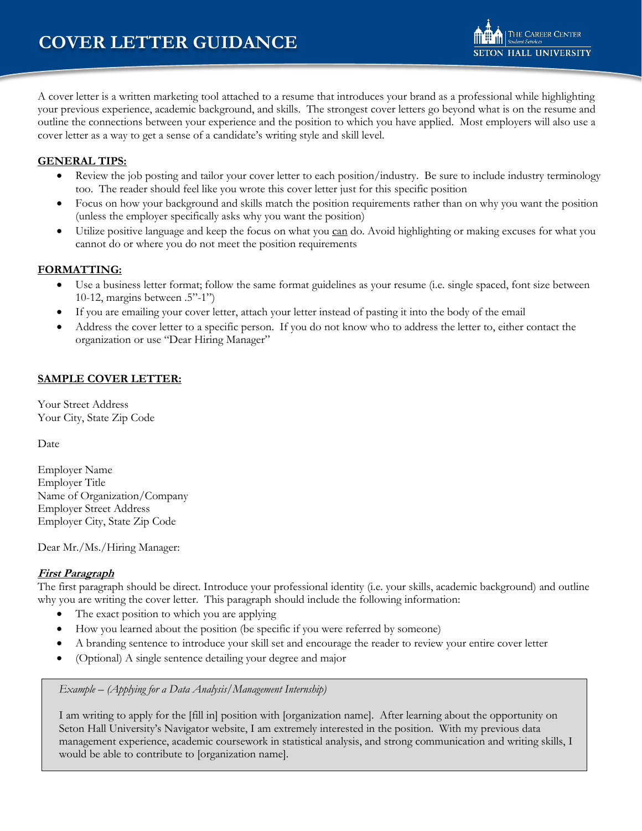A cover letter is a written marketing tool attached to a resume that introduces your brand as a professional while highlighting your previous experience, academic background, and skills. The strongest cover letters go beyond what is on the resume and outline the connections between your experience and the position to which you have applied. Most employers will also use a cover letter as a way to get a sense of a candidate's writing style and skill level.

# **GENERAL TIPS:**

- **•** Review the job posting and tailor your cover letter to each position/industry. Be sure to include industry terminology too. The reader should feel like you wrote this cover letter just for this specific position
- Focus on how your background and skills match the position requirements rather than on why you want the position (unless the employer specifically asks why you want the position)
- Utilize positive language and keep the focus on what you can do. Avoid highlighting or making excuses for what you cannot do or where you do not meet the position requirements

## **FORMATTING:**

- Use a business letter format; follow the same format guidelines as your resume (i.e. single spaced, font size between 10-12, margins between  $.5"$ -1")
- If you are emailing your cover letter, attach your letter instead of pasting it into the body of the email
- Address the cover letter to a specific person. If you do not know who to address the letter to, either contact the organization or use "Dear Hiring Manager"

# **SAMPLE COVER LETTER:**

Your Street Address Your City, State Zip Code

Date

Employer Name Employer Title Name of Organization/Company Employer Street Address Employer City, State Zip Code

Dear Mr./Ms./Hiring Manager:

#### **First Paragraph**

The first paragraph should be direct. Introduce your professional identity (i.e. your skills, academic background) and outline why you are writing the cover letter. This paragraph should include the following information:

- The exact position to which you are applying
- How you learned about the position (be specific if you were referred by someone)
- x A branding sentence to introduce your skill set and encourage the reader to review your entire cover letter
- (Optional) A single sentence detailing your degree and major

*Example – (Applying for a Data Analysis/Management Internship)*

I am writing to apply for the [fill in] position with [organization name]. After learning about the opportunity on Seton Hall University's Navigator website, I am extremely interested in the position. With my previous data management experience, academic coursework in statistical analysis, and strong communication and writing skills, I would be able to contribute to [organization name].